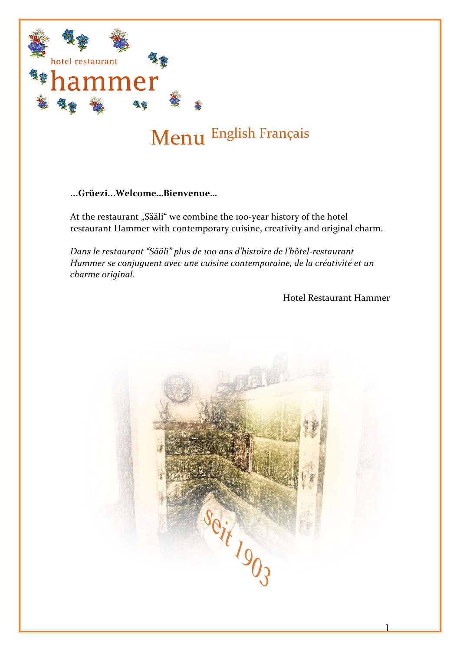

# Menu English Français

### **...Grüezi...Welcome…Bienvenue…**

At the restaurant "Sääli" we combine the 100-year history of the hotel restaurant Hammer with contemporary cuisine, creativity and original charm.

*Dans le restaurant "Sääli" plus de 100 ans d'histoire de l'hôtel-restaurant Hammer se conjuguent avec une cuisine contemporaine, de la créativité et un charme original.*

Hotel Restaurant Hammer

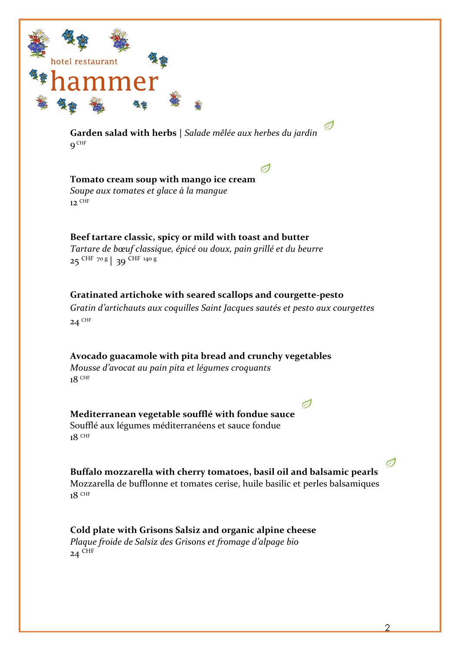

**Garden salad with herbs |** *Salade mêlée aux herbes du jardin*  $9^\mathsf{CHF}$ 

**Tomato cream soup with mango ice cream** *Soupe aux tomates et glace à la mangue*  $12$  CHF

**Beef tartare classic, spicy or mild with toast and butter** *Tartare de bœuf classique, épicé ou doux, pain grillé et du beurre* 25 CHF 70 g **|** 39 CHF 140 g

**Gratinated artichoke with seared scallops and courgette-pesto** *Gratin d'artichauts aux coquilles Saint Jacques sautés et pesto aux courgettes*  $24$ <sup>CHF</sup>

**Avocado guacamole with pita bread and crunchy vegetables** *Mousse d'avocat au pain pita et légumes croquants* 18 CHF

**Mediterranean vegetable soufflé with fondue sauce** Soufflé aux légumes méditerranéens et sauce fondue 18 CHF

**Buffalo mozzarella with cherry tomatoes, basil oil and balsamic pearls** Mozzarella de bufflonne et tomates cerise, huile basilic et perles balsamiques  $18$  CHF

Ø

**Cold plate with Grisons Salsiz and organic alpine cheese** *Plaque froide de Salsiz des Grisons et fromage d'alpage bio*  $24$ <sup>CHF</sup>

 $\sigma$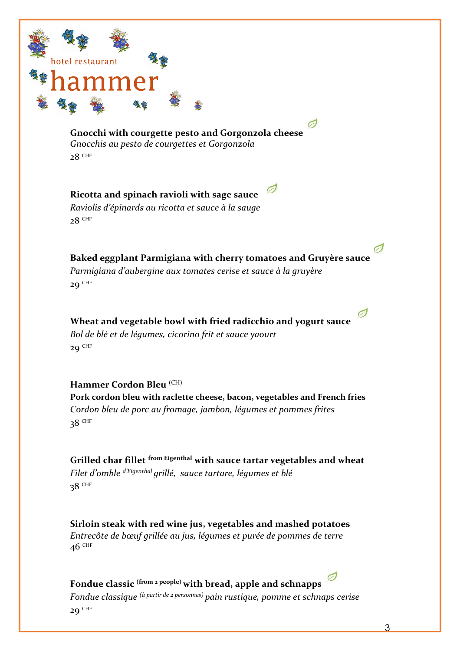

**Gnocchi with courgette pesto and Gorgonzola cheese** *Gnocchis au pesto de courgettes et Gorgonzola*  $28$  CHF

**Ricotta and spinach ravioli with sage sauce** *Raviolis d'épinards au ricotta et sauce à la sauge*  $28$ <sup>CHF</sup>

**Baked eggplant Parmigiana with cherry tomatoes and Gruyère sauce** *Parmigiana d'aubergine aux tomates cerise et sauce à la gruyère*  $29$ <sup>CHF</sup>

**Wheat and vegetable bowl with fried radicchio and yogurt sauce** *Bol de blé et de légumes, cicorino frit et sauce yaourt*  $29$ <sup>CHF</sup>

**Hammer Cordon Bleu** (CH) **Pork cordon bleu with raclette cheese, bacon, vegetables and French fries** *Cordon bleu de porc au fromage, jambon, légumes et pommes frites* 38 CHF

**Grilled char fillet from Eigenthal with sauce tartar vegetables and wheat** *Filet d'omble d'Eigenthal grillé, sauce tartare, légumes et blé* 38 CHF

**Sirloin steak with red wine jus, vegetables and mashed potatoes** *Entrecôte de bœuf grillée au jus, légumes et purée de pommes de terre*  $46$  CHF

**Fondue classic (from 2 people) with bread, apple and schnapps** *Fondue classique (à partir de 2 personnes) pain rustique, pomme et schnaps cerise*  $29$ <sup>CHF</sup>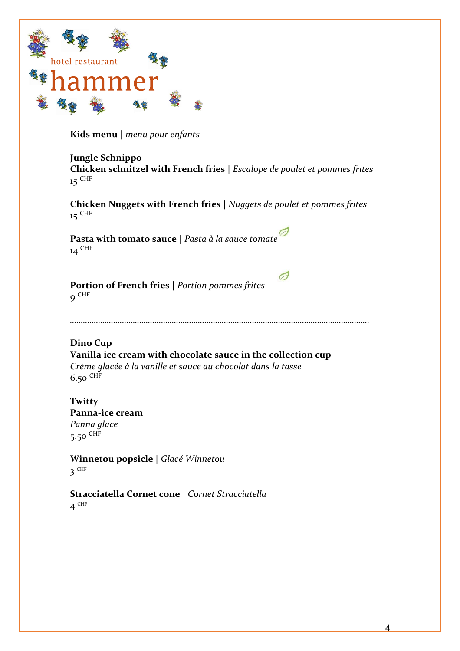

**Kids menu |** *menu pour enfants*

### **Jungle Schnippo**

**Chicken schnitzel with French fries |** *Escalope de poulet et pommes frites* 15 <sup>CHF</sup>

**Chicken Nuggets with French fries |** *Nuggets de poulet et pommes frites* 15 CHF

**Pasta with tomato sauce |** *Pasta à la sauce tomate* 14 CHF

**Portion of French fries |** *Portion pommes frites* 9 CHF

*…………………………………………………………………………………………………………………………*

Ø

**Dino Cup Vanilla ice cream with chocolate sauce in the collection cup**  *Crème glacée à la vanille et sauce au chocolat dans la tasse* 6.50 CHF

**Twitty Panna-ice cream** *Panna glace* 5.50 CHF

**Winnetou popsicle |** *Glacé Winnetou* 3 CHF

**Stracciatella Cornet cone |** *Cornet Stracciatella* 4 CHF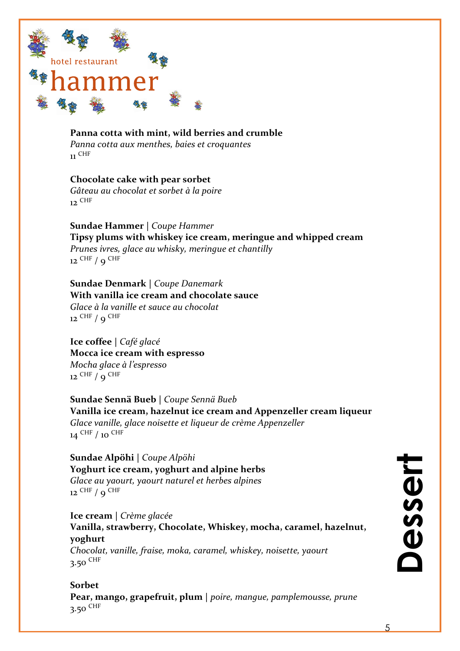

 $\mathbf{u}$  CHF

**Panna cotta with mint, wild berries and crumble** *Panna cotta aux menthes, baies et croquantes*

### **Chocolate cake with pear sorbet**

*Gâteau au chocolat et sorbet à la poire*  $_{12}$  CHF

**Sundae Hammer |** *Coupe Hammer* **Tipsy plums with whiskey ice cream, meringue and whipped cream** *Prunes ivres, glace au whisky, meringue et chantilly*  $12$  CHF  $/$  9 CHF

**Sundae Denmark |** *Coupe Danemark* **With vanilla ice cream and chocolate sauce** *Glace à la vanille et sauce au chocolat*  $12$  CHF  $/$  Q CHF

**Ice coffee |** *Café glacé* **Mocca ice cream with espresso** *Mocha glace à l'espresso*  $12$  CHF  $/$  9 CHF

**Sundae Sennä Bueb |** *Coupe Sennä Bueb* **Vanilla ice cream, hazelnut ice cream and Appenzeller cream liqueur** *Glace vanille, glace noisette et liqueur de crème Appenzeller* 14 CHF / 10 CHF

**Sundae Alpöhi |** *Coupe Alpöhi* **Yoghurt ice cream, yoghurt and alpine herbs** *Glace au yaourt, yaourt naturel et herbes alpines* 12 <sup>CHF</sup> / 9 <sup>CHF</sup>

**Ice cream |** *Crème glacée* **Vanilla, strawberry, Chocolate, Whiskey, mocha, caramel, hazelnut, yoghurt**  *Chocolat, vanille, fraise, moka, caramel, whiskey, noisette, yaourt* 3.50 CHF

**Sorbet Pear, mango, grapefruit, plum |** *poire, mangue, pamplemousse, prune* 3.50  $CHF$ 

# esser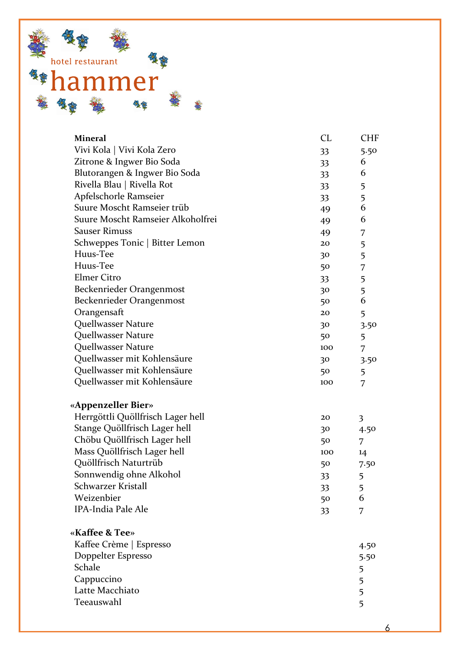

| <b>Mineral</b>                    | CL              | <b>CHF</b> |
|-----------------------------------|-----------------|------------|
| Vivi Kola   Vivi Kola Zero        | 33              | 5.50       |
| Zitrone & Ingwer Bio Soda         | 33 <sup>2</sup> | 6          |
| Blutorangen & Ingwer Bio Soda     | 33 <sup>2</sup> | 6          |
| Rivella Blau   Rivella Rot        | 33 <sup>2</sup> | 5          |
| Apfelschorle Ramseier             | 33 <sup>2</sup> | 5          |
| Suure Moscht Ramseier trüb        | 49              | 6          |
| Suure Moscht Ramseier Alkoholfrei | 49              | 6          |
| <b>Sauser Rimuss</b>              | 49              | 7          |
| Schweppes Tonic   Bitter Lemon    | 20              | 5          |
| Huus-Tee                          | 30              | 5          |
| Huus-Tee                          | 50              | 7          |
| <b>Elmer Citro</b>                | 33              | 5          |
| Beckenrieder Orangenmost          | 30              | 5          |
| Beckenrieder Orangenmost          | 50              | 6          |
| Orangensaft                       | 20              | 5          |
| Quellwasser Nature                | 30              | 3.50       |
| Quellwasser Nature                | 50              | 5          |
| Quellwasser Nature                | 100             | 7          |
| Quellwasser mit Kohlensäure       | 30              | 3.50       |
| Quellwasser mit Kohlensäure       | 50              | 5          |
| Quellwasser mit Kohlensäure       | 100             | 7          |
| «Appenzeller Bier»                |                 |            |
| Herrgöttli Quöllfrisch Lager hell | 20              | 3          |
| Stange Quöllfrisch Lager hell     | 30              | 4.50       |
| Chöbu Quöllfrisch Lager hell      | 50              | 7          |
| Mass Quöllfrisch Lager hell       | 100             | 14         |
| Quöllfrisch Naturtrüb             | 50              | 7.50       |
| Sonnwendig ohne Alkohol           | 33              | 5          |
| Schwarzer Kristall                | 33              | 5          |
| Weizenbier                        | 50              | 6          |
| <b>IPA-India Pale Ale</b>         | 33              | 7          |
| «Kaffee & Tee»                    |                 |            |
| Kaffee Crème   Espresso           |                 | 4.50       |
| Doppelter Espresso                |                 | 5.50       |
| Schale                            |                 | 5          |
| Cappuccino                        |                 | 5          |
| Latte Macchiato                   |                 | 5          |
| Teeauswahl                        |                 | 5          |